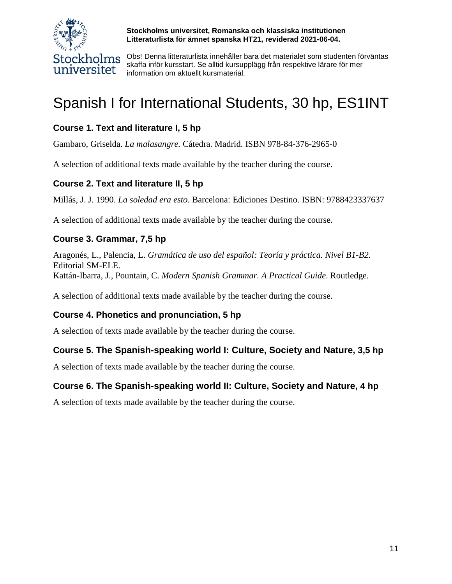

**Stockholms universitet, Romanska och klassiska institutionen Litteraturlista för ämnet spanska HT21, reviderad 2021-06-04.**

Obs! Denna litteraturlista innehåller bara det materialet som studenten förväntas skaffa inför kursstart. Se alltid kursupplägg från respektive lärare för mer information om aktuellt kursmaterial.

# Spanish I for International Students, 30 hp, ES1INT

# **Course 1. Text and literature I, 5 hp**

Gambaro, Griselda. *La malasangre.* Cátedra. Madrid. ISBN 978-84-376-2965-0

A selection of additional texts made available by the teacher during the course.

# **Course 2. Text and literature II, 5 hp**

Millás, J. J. 1990. *La soledad era esto*. Barcelona: Ediciones Destino. ISBN: 9788423337637

A selection of additional texts made available by the teacher during the course.

# **Course 3. Grammar, 7,5 hp**

Aragonés, L., Palencia, L. *Gramática de uso del español: Teoría y práctica. Nivel B1-B2.* Editorial SM-ELE. Kattán-Ibarra, J., Pountain, C. *Modern Spanish Grammar. A Practical Guide*. Routledge.

A selection of additional texts made available by the teacher during the course.

# **Course 4. Phonetics and pronunciation, 5 hp**

A selection of texts made available by the teacher during the course.

# **Course 5. The Spanish-speaking world I: Culture, Society and Nature, 3,5 hp**

A selection of texts made available by the teacher during the course.

# **Course 6. The Spanish-speaking world II: Culture, Society and Nature, 4 hp**

A selection of texts made available by the teacher during the course.